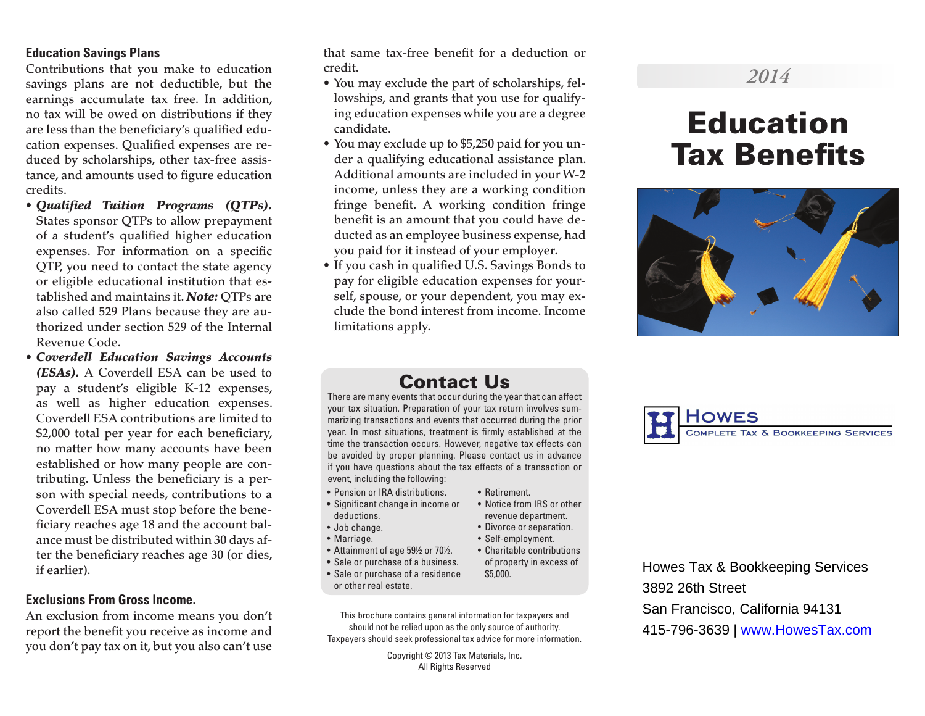## **Education Savings Plans**

Contributions that you make to education savings plans are not deductible, but the earnings accumulate tax free. In addition, no tax will be owed on distributions if they are less than the beneficiary's qualified education expenses. Qualified expenses are reduced by scholarships, other tax-free assistance, and amounts used to figure education credits.

- *Qualified Tuition Programs (QTPs).* States sponsor QTPs to allow prepayment of a student's qualified higher education expenses. For information on a specific QTP, you need to contact the state agency or eligible educational institution that established and maintains it. *Note:* QTPs are also called 529 Plans because they are authorized under section 529 of the Internal Revenue Code.
- *Coverdell Education Savings Accounts (ESAs).* A Coverdell ESA can be used to pay a student's eligible K-12 expenses, as well as higher education expenses. Coverdell ESA contributions are limited to \$2,000 total per year for each beneficiary, no matter how many accounts have been established or how many people are contributing. Unless the beneficiary is a person with special needs, contributions to a Coverdell ESA must stop before the beneficiary reaches age 18 and the account balance must be distributed within 30 days after the beneficiary reaches age 30 (or dies, if earlier).

#### **Exclusions From Gross Income.**

An exclusion from income means you don't report the benefit you receive as income and you don't pay tax on it, but you also can't use

that same tax-free benefit for a deduction or credit.

- You may exclude the part of scholarships, fellowships, and grants that you use for qualifying education expenses while you are a degree candidate.
- You may exclude up to \$5,250 paid for you under a qualifying educational assistance plan. Additional amounts are included in your W-2 income, unless they are a working condition fringe benefit. A working condition fringe benefit is an amount that you could have deducted as an employee business expense, had you paid for it instead of your employer.
- If you cash in qualified U.S. Savings Bonds to pay for eligible education expenses for yourself, spouse, or your dependent, you may exclude the bond interest from income. Income limitations apply.

## *2014*

# Education Tax Benefits



## Contact Us

There are many events that occur during the year that can affect your tax situation. Preparation of your tax return involves summarizing transactions and events that occurred during the prior year. In most situations, treatment is firmly established at the time the transaction occurs. However, negative tax effects can be avoided by proper planning. Please contact us in advance if you have questions about the tax effects of a transaction or event, including the following:

• Retirement.

\$5,000.

• Notice from IRS or other revenue department. • Divorce or separation. • Self-employment. • Charitable contributions of property in excess of

- Pension or IRA distributions.
- Significant change in income or deductions.
- Job change.
- Marriage.
- Attainment of age 59½ or 70½.
- Sale or purchase of a business.
- Sale or purchase of a residence or other real estate.
- This brochure contains general information for taxpayers and should not be relied upon as the only source of authority. Taxpayers should seek professional tax advice for more information.

Copyright © 2013 Tax Materials, Inc. All Rights Reserved



Howes Tax & Bookkeeping Services 3892 26th Street San Francisco, California 94131 415-796-3639 | www.HowesTax.com